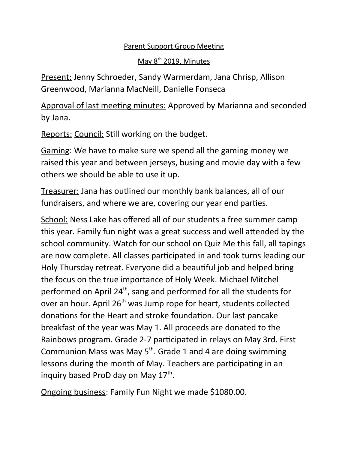## Parent Support Group Meeting

## May 8<sup>th</sup> 2019, Minutes

Present: Jenny Schroeder, Sandy Warmerdam, Jana Chrisp, Allison Greenwood, Marianna MacNeill, Danielle Fonseca

Approval of last meeting minutes: Approved by Marianna and seconded by Jana.

Reports: Council: Still working on the budget.

Gaming: We have to make sure we spend all the gaming money we raised this year and between jerseys, busing and movie day with a few others we should be able to use it up.

Treasurer: Jana has outlined our monthly bank balances, all of our fundraisers, and where we are, covering our year end parties.

School: Ness Lake has offered all of our students a free summer camp this year. Family fun night was a great success and well attended by the school community. Watch for our school on Quiz Me this fall, all tapings are now complete. All classes participated in and took turns leading our Holy Thursday retreat. Everyone did a beautiful job and helped bring the focus on the true importance of Holy Week. Michael Mitchel performed on April  $24<sup>th</sup>$ , sang and performed for all the students for over an hour. April 26<sup>th</sup> was Jump rope for heart, students collected donations for the Heart and stroke foundation. Our last pancake breakfast of the year was May 1. All proceeds are donated to the Rainbows program. Grade 2-7 participated in relays on May 3rd. First Communion Mass was May  $5<sup>th</sup>$ . Grade 1 and 4 are doing swimming lessons during the month of May. Teachers are participating in an inquiry based ProD day on May 17<sup>th</sup>.

Ongoing business: Family Fun Night we made \$1080.00.